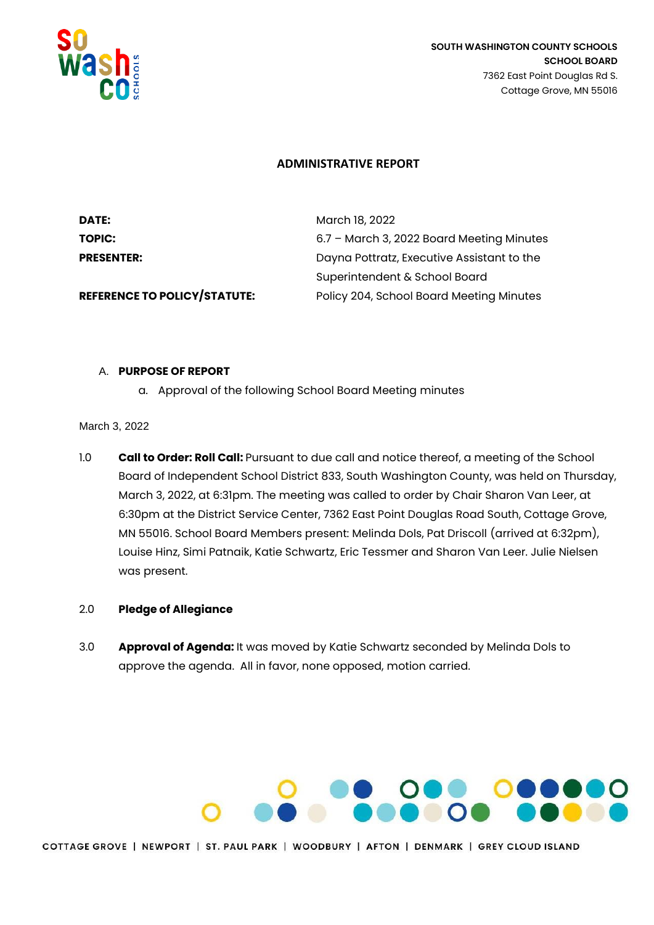

### **ADMINISTRATIVE REPORT**

| <b>DATE:</b>                        | March 18, 2022                             |
|-------------------------------------|--------------------------------------------|
| TOPIC:                              | 6.7 - March 3, 2022 Board Meeting Minutes  |
| <b>PRESENTER:</b>                   | Dayna Pottratz, Executive Assistant to the |
|                                     | Superintendent & School Board              |
| <b>REFERENCE TO POLICY/STATUTE:</b> | Policy 204, School Board Meeting Minutes   |

#### A. **PURPOSE OF REPORT**

a. Approval of the following School Board Meeting minutes

### March 3, 2022

1.0 **Call to Order: Roll Call:** Pursuant to due call and notice thereof, a meeting of the School Board of Independent School District 833, South Washington County, was held on Thursday, March 3, 2022, at 6:31pm. The meeting was called to order by Chair Sharon Van Leer, at 6:30pm at the District Service Center, 7362 East Point Douglas Road South, Cottage Grove, MN 55016. School Board Members present: Melinda Dols, Pat Driscoll (arrived at 6:32pm), Louise Hinz, Simi Patnaik, Katie Schwartz, Eric Tessmer and Sharon Van Leer. Julie Nielsen was present.

# 2.0 **Pledge of Allegiance**

3.0 **Approval of Agenda:** It was moved by Katie Schwartz seconded by Melinda Dols to approve the agenda. All in favor, none opposed, motion carried.



COTTAGE GROVE | NEWPORT | ST. PAUL PARK | WOODBURY | AFTON | DENMARK | GREY CLOUD ISLAND